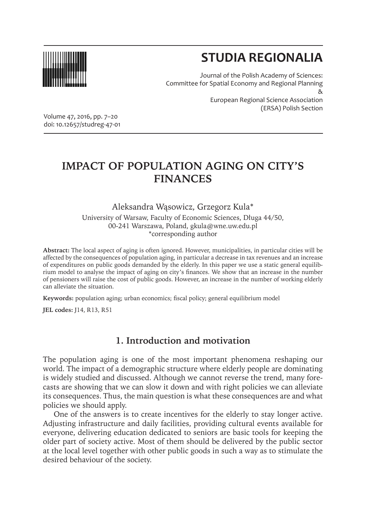

# **STUDIA REGIONALIA**

Journal of the Polish Academy of Sciences: Committee for Spatial Economy and Regional Planning & European Regional Science Association (ERSA) Polish Section

Volume 47, 2016, pp. 7–20 doi: 10.12657/studreg-47-01

## **IMPACT OF POPULATION AGING ON CITY'S FINANCES**

Aleksandra Wąsowicz, Grzegorz Kula\* University of Warsaw, Faculty of Economic Sciences, Długa 44/50, 00-241 Warszawa, Poland, gkula@wne.uw.edu.pl \*corresponding author

**Abstract:** The local aspect of aging is often ignored. However, municipalities, in particular cities will be affected by the consequences of population aging, in particular a decrease in tax revenues and an increase of expenditures on public goods demanded by the elderly. In this paper we use a static general equilibrium model to analyse the impact of aging on city's finances. We show that an increase in the number of pensioners will raise the cost of public goods. However, an increase in the number of working elderly can alleviate the situation.

**Keywords:** population aging; urban economics; fiscal policy; general equilibrium model

**JEL codes:** J14, R13, R51

## **1. Introduction and motivation**

The population aging is one of the most important phenomena reshaping our world. The impact of a demographic structure where elderly people are dominating is widely studied and discussed. Although we cannot reverse the trend, many forecasts are showing that we can slow it down and with right policies we can alleviate its consequences. Thus, the main question is what these consequences are and what policies we should apply.

One of the answers is to create incentives for the elderly to stay longer active. Adjusting infrastructure and daily facilities, providing cultural events available for everyone, delivering education dedicated to seniors are basic tools for keeping the older part of society active. Most of them should be delivered by the public sector at the local level together with other public goods in such a way as to stimulate the desired behaviour of the society.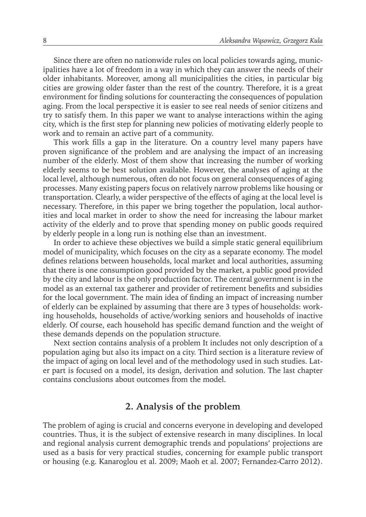Since there are often no nationwide rules on local policies towards aging, municipalities have a lot of freedom in a way in which they can answer the needs of their older inhabitants. Moreover, among all municipalities the cities, in particular big cities are growing older faster than the rest of the country. Therefore, it is a great environment for finding solutions for counteracting the consequences of population aging. From the local perspective it is easier to see real needs of senior citizens and try to satisfy them. In this paper we want to analyse interactions within the aging city, which is the first step for planning new policies of motivating elderly people to work and to remain an active part of a community.

This work fills a gap in the literature. On a country level many papers have proven significance of the problem and are analysing the impact of an increasing number of the elderly. Most of them show that increasing the number of working elderly seems to be best solution available. However, the analyses of aging at the local level, although numerous, often do not focus on general consequences of aging processes. Many existing papers focus on relatively narrow problems like housing or transportation. Clearly, a wider perspective of the effects of aging at the local level is necessary. Therefore, in this paper we bring together the population, local authorities and local market in order to show the need for increasing the labour market activity of the elderly and to prove that spending money on public goods required by elderly people in a long run is nothing else than an investment.

In order to achieve these objectives we build a simple static general equilibrium model of municipality, which focuses on the city as a separate economy. The model defines relations between households, local market and local authorities, assuming that there is one consumption good provided by the market, a public good provided by the city and labour is the only production factor. The central government is in the model as an external tax gatherer and provider of retirement benefits and subsidies for the local government. The main idea of finding an impact of increasing number of elderly can be explained by assuming that there are 3 types of households: working households, households of active/working seniors and households of inactive elderly. Of course, each household has specific demand function and the weight of these demands depends on the population structure.

Next section contains analysis of a problem It includes not only description of a population aging but also its impact on a city. Third section is a literature review of the impact of aging on local level and of the methodology used in such studies. Later part is focused on a model, its design, derivation and solution. The last chapter contains conclusions about outcomes from the model.

## **2. Analysis of the problem**

The problem of aging is crucial and concerns everyone in developing and developed countries. Thus, it is the subject of extensive research in many disciplines. In local and regional analysis current demographic trends and populations' projections are used as a basis for very practical studies, concerning for example public transport or housing (e.g. Kanaroglou et al. 2009; Maoh et al. 2007; Fernandez-Carro 2012).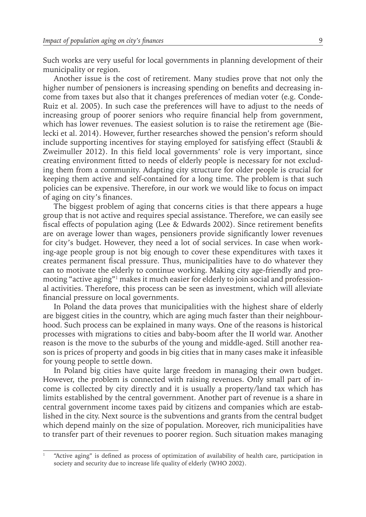Such works are very useful for local governments in planning development of their municipality or region.

Another issue is the cost of retirement. Many studies prove that not only the higher number of pensioners is increasing spending on benefits and decreasing income from taxes but also that it changes preferences of median voter (e.g. Conde-Ruiz et al. 2005). In such case the preferences will have to adjust to the needs of increasing group of poorer seniors who require financial help from government, which has lower revenues. The easiest solution is to raise the retirement age (Bielecki et al. 2014). However, further researches showed the pension's reform should include supporting incentives for staying employed for satisfying effect (Staubli & Zweimuller 2012). In this field local governments' role is very important, since creating environment fitted to needs of elderly people is necessary for not excluding them from a community. Adapting city structure for older people is crucial for keeping them active and self-contained for a long time. The problem is that such policies can be expensive. Therefore, in our work we would like to focus on impact of aging on city's finances.

The biggest problem of aging that concerns cities is that there appears a huge group that is not active and requires special assistance. Therefore, we can easily see fiscal effects of population aging (Lee & Edwards 2002). Since retirement benefits are on average lower than wages, pensioners provide significantly lower revenues for city's budget. However, they need a lot of social services. In case when working-age people group is not big enough to cover these expenditures with taxes it creates permanent fiscal pressure. Thus, municipalities have to do whatever they can to motivate the elderly to continue working. Making city age-friendly and promoting "active aging"1 makes it much easier for elderly to join social and professional activities. Therefore, this process can be seen as investment, which will alleviate financial pressure on local governments.

In Poland the data proves that municipalities with the highest share of elderly are biggest cities in the country, which are aging much faster than their neighbourhood. Such process can be explained in many ways. One of the reasons is historical processes with migrations to cities and baby-boom after the II world war. Another reason is the move to the suburbs of the young and middle-aged. Still another reason is prices of property and goods in big cities that in many cases make it infeasible for young people to settle down.

In Poland big cities have quite large freedom in managing their own budget. However, the problem is connected with raising revenues. Only small part of income is collected by city directly and it is usually a property/land tax which has limits established by the central government. Another part of revenue is a share in central government income taxes paid by citizens and companies which are established in the city. Next source is the subventions and grants from the central budget which depend mainly on the size of population. Moreover, rich municipalities have to transfer part of their revenues to poorer region. Such situation makes managing

<sup>1</sup> "Active aging" is defined as process of optimization of availability of health care, participation in society and security due to increase life quality of elderly (WHO 2002).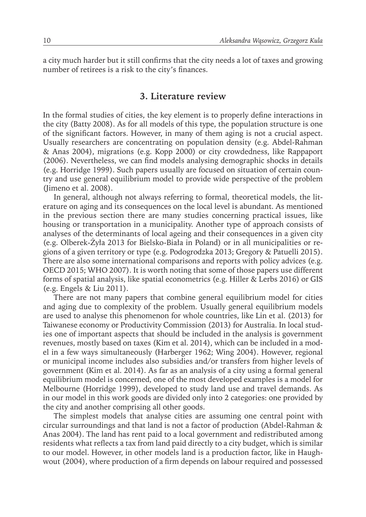a city much harder but it still confirms that the city needs a lot of taxes and growing number of retirees is a risk to the city's finances.

#### **3. Literature review**

In the formal studies of cities, the key element is to properly define interactions in the city (Batty 2008). As for all models of this type, the population structure is one of the significant factors. However, in many of them aging is not a crucial aspect. Usually researchers are concentrating on population density (e.g. Abdel-Rahman & Anas 2004), migrations (e.g. Kopp 2000) or city crowdedness, like Rappaport (2006). Nevertheless, we can find models analysing demographic shocks in details (e.g. Horridge 1999). Such papers usually are focused on situation of certain country and use general equilibrium model to provide wide perspective of the problem (Jimeno et al. 2008).

In general, although not always referring to formal, theoretical models, the literature on aging and its consequences on the local level is abundant. As mentioned in the previous section there are many studies concerning practical issues, like housing or transportation in a municipality. Another type of approach consists of analyses of the determinants of local ageing and their consequences in a given city (e.g. Olberek-Żyła 2013 for Bielsko-Biała in Poland) or in all municipalities or regions of a given territory or type (e.g. Podogrodzka 2013; Gregory & Patuelli 2015). There are also some international comparisons and reports with policy advices (e.g. OECD 2015; WHO 2007). It is worth noting that some of those papers use different forms of spatial analysis, like spatial econometrics (e.g. Hiller & Lerbs 2016) or GIS (e.g. Engels & Liu 2011).

There are not many papers that combine general equilibrium model for cities and aging due to complexity of the problem. Usually general equilibrium models are used to analyse this phenomenon for whole countries, like Lin et al. (2013) for Taiwanese economy or Productivity Commission (2013) for Australia. In local studies one of important aspects that should be included in the analysis is government revenues, mostly based on taxes (Kim et al. 2014), which can be included in a model in a few ways simultaneously (Harberger 1962; Wing 2004). However, regional or municipal income includes also subsidies and/or transfers from higher levels of government (Kim et al. 2014). As far as an analysis of a city using a formal general equilibrium model is concerned, one of the most developed examples is a model for Melbourne (Horridge 1999), developed to study land use and travel demands. As in our model in this work goods are divided only into 2 categories: one provided by the city and another comprising all other goods.

The simplest models that analyse cities are assuming one central point with circular surroundings and that land is not a factor of production (Abdel-Rahman & Anas 2004). The land has rent paid to a local government and redistributed among residents what reflects a tax from land paid directly to a city budget, which is similar to our model. However, in other models land is a production factor, like in Haughwout (2004), where production of a firm depends on labour required and possessed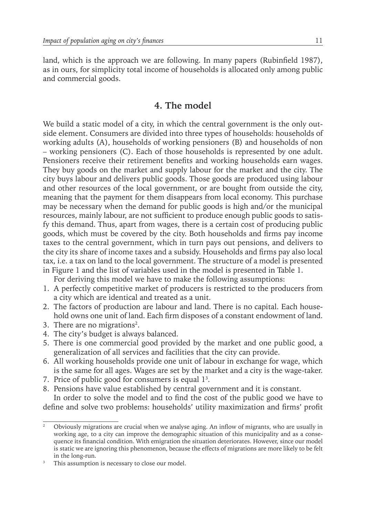land, which is the approach we are following. In many papers (Rubinfield 1987), as in ours, for simplicity total income of households is allocated only among public and commercial goods.

### **4. The model**

We build a static model of a city, in which the central government is the only outside element. Consumers are divided into three types of households: households of working adults (A), households of working pensioners (B) and households of non – working pensioners (C). Each of those households is represented by one adult. Pensioners receive their retirement benefits and working households earn wages. They buy goods on the market and supply labour for the market and the city. The city buys labour and delivers public goods. Those goods are produced using labour and other resources of the local government, or are bought from outside the city, meaning that the payment for them disappears from local economy. This purchase may be necessary when the demand for public goods is high and/or the municipal resources, mainly labour, are not sufficient to produce enough public goods to satisfy this demand. Thus, apart from wages, there is a certain cost of producing public goods, which must be covered by the city. Both households and firms pay income taxes to the central government, which in turn pays out pensions, and delivers to the city its share of income taxes and a subsidy. Households and firms pay also local tax, i.e. a tax on land to the local government. The structure of a model is presented in Figure 1 and the list of variables used in the model is presented in Table 1.

For deriving this model we have to make the following assumptions:

- 1. A perfectly competitive market of producers is restricted to the producers from a city which are identical and treated as a unit.
- 2. The factors of production are labour and land. There is no capital. Each household owns one unit of land. Each firm disposes of a constant endowment of land.
- 3. There are no migrations<sup>2</sup>.
- 4. The city's budget is always balanced.
- 5. There is one commercial good provided by the market and one public good, a generalization of all services and facilities that the city can provide.
- 6. All working households provide one unit of labour in exchange for wage, which is the same for all ages. Wages are set by the market and a city is the wage-taker.
- 7. Price of public good for consumers is equal  $1<sup>3</sup>$ .
- 8. Pensions have value established by central government and it is constant.

In order to solve the model and to find the cost of the public good we have to define and solve two problems: households' utility maximization and firms' profit

<sup>&</sup>lt;sup>2</sup> Obviously migrations are crucial when we analyse aging. An inflow of migrants, who are usually in working age, to a city can improve the demographic situation of this municipality and as a consequence its financial condition. With emigration the situation deteriorates. However, since our model is static we are ignoring this phenomenon, because the effects of migrations are more likely to be felt in the long-run.

<sup>&</sup>lt;sup>3</sup> This assumption is necessary to close our model.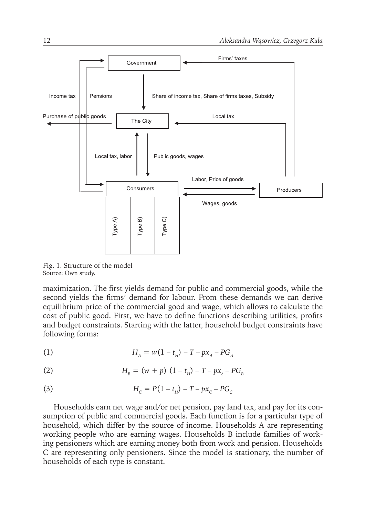

Fig. 1. Structure of the model Source: Own study.

maximization. The first yields demand for public and commercial goods, while the second yields the firms' demand for labour. From these demands we can derive equilibrium price of the commercial good and wage, which allows to calculate the cost of public good. First, we have to define functions describing utilities, profits and budget constraints. Starting with the latter, household budget constraints have following forms:

(1) 
$$
H_A = w(1 - t_H) - T - px_A - PG_A
$$

(2) 
$$
H_{B} = (w + p) (1 - t_{H}) - T - px_{b} - PG_{B}
$$

(3) 
$$
H_c = P(1 - t_H) - T - px_c - PG_c
$$

Households earn net wage and/or net pension, pay land tax, and pay for its consumption of public and commercial goods. Each function is for a particular type of household, which differ by the source of income. Households A are representing working people who are earning wages. Households B include families of working pensioners which are earning money both from work and pension. Households C are representing only pensioners. Since the model is stationary, the number of households of each type is constant.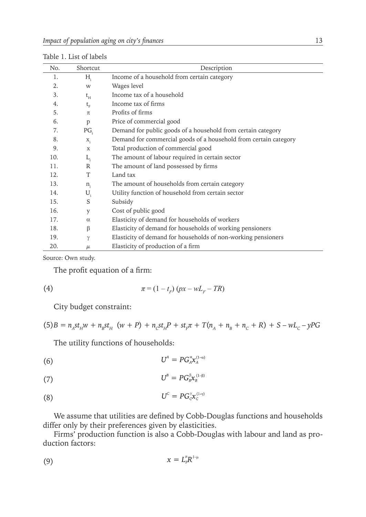| No. | Shortcut        | Description                                                      |
|-----|-----------------|------------------------------------------------------------------|
| 1.  | H,              | Income of a household from certain category                      |
| 2.  | W               | Wages level                                                      |
| 3.  | $t_{\rm H}$     | Income tax of a household                                        |
| 4.  | $t_{\rm F}$     | Income tax of firms                                              |
| 5.  | $\pi$           | Profits of firms                                                 |
| 6.  | p               | Price of commercial good                                         |
| 7.  | PG <sub>i</sub> | Demand for public goods of a household from certain category     |
| 8.  | $X_i$           | Demand for commercial goods of a household from certain category |
| 9.  | $\mathbf x$     | Total production of commercial good                              |
| 10. | $L_i$           | The amount of labour required in certain sector                  |
| 11. | R               | The amount of land possessed by firms                            |
| 12. | T               | Land tax                                                         |
| 13. | $n_{i}$         | The amount of households from certain category                   |
| 14. | $U_i$           | Utility function of household from certain sector                |
| 15. | S               | Subsidy                                                          |
| 16. | y               | Cost of public good                                              |
| 17. | $\alpha$        | Elasticity of demand for households of workers                   |
| 18. | β               | Elasticity of demand for households of working pensioners        |
| 19. | γ               | Elasticity of demand for households of non-working pensioners    |
| 20. | $\mu$           | Elasticity of production of a firm                               |

Table 1. List of labels

Source: Own study.

The profit equation of a firm:

$$
\pi = (1 - t_F) (px - wL_F - TR)
$$

City budget constraint:

 $(5)B = n_A st_H w + n_B st_H (w + P) + n_C st_H P + st_F \pi + T(n_A + n_B + n_C + R) + S - wL_C - yPG$ 

The utility functions of households:

$$
(6) \t\t U^A = PG_{A}^{\alpha} x_A^{(1-\alpha)}
$$

$$
(7) \tU^B = PG_{B}^{\beta} \mathcal{X}_{B}^{(1-\beta)}
$$

$$
(8) \tU^c = PG_C^{\gamma} x_c^{(1-\gamma)}
$$

We assume that utilities are defined by Cobb-Douglas functions and households differ only by their preferences given by elasticities.

Firms' production function is also a Cobb-Douglas with labour and land as production factors:

$$
(9) \t\t x = L_F^{\mu} R^{1-\mu}
$$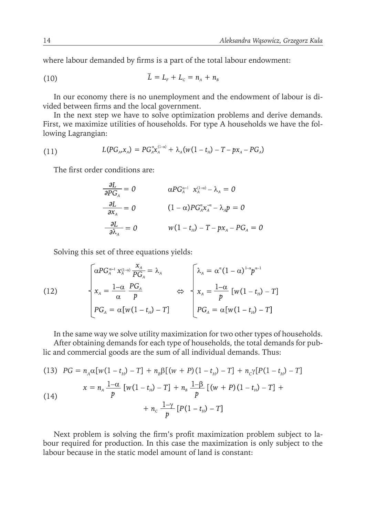where labour demanded by firms is a part of the total labour endowment:

(10) 
$$
L = L_{F} + L_{C} = n_{A} + n_{B}
$$

In our economy there is no unemployment and the endowment of labour is divided between firms and the local government.

In the next step we have to solve optimization problems and derive demands. First, we maximize utilities of households. For type A households we have the following Lagrangian:

(11) 
$$
L(PG_A, x_A) = PG_A^{\alpha} x_A^{(1-\alpha)} + \lambda_A (w(1-t_H) - T - px_A - PG_A)
$$

The first order conditions are:

$$
\frac{\partial L}{\partial PG_A} = 0 \qquad \alpha PG_A^{\alpha-1} x_A^{(1-\alpha)} - \lambda_A = 0
$$

$$
\frac{\partial L}{\partial x_A} = 0 \qquad (1-\alpha) PG_A^{\alpha} x_A^{-\alpha} - \lambda_A p = 0
$$

$$
\frac{\partial L}{\partial \lambda_A} = 0 \qquad w(1-t_H) - T - px_A - PG_A = 0
$$

Solving this set of three equations yields:

(12) 
$$
\begin{cases} \alpha PG_{A}^{\alpha-1} x_A^{(1-\alpha)} \frac{x_A}{PG_A} = \lambda_A \\ x_A = \frac{1-\alpha}{\alpha} \frac{PG_A}{p} \\ PG_A = \alpha [w(1-t_H) - T] \end{cases} \Leftrightarrow \begin{cases} \lambda_A = \alpha^{\alpha} (1-\alpha)^{1-\alpha} p^{\alpha-1} \\ x_A = \frac{1-\alpha}{p} [w(1-t_H) - T] \\ PG_A = \alpha [w(1-t_H) - T] \end{cases}
$$

In the same way we solve utility maximization for two other types of households. After obtaining demands for each type of households, the total demands for public and commercial goods are the sum of all individual demands. Thus:

(13) 
$$
PG = n_A \alpha [w(1 - t_H) - T] + n_B \beta [(w + P)(1 - t_H) - T] + n_C \gamma [P(1 - t_H) - T]
$$

$$
x = n_A \frac{1 - \alpha}{p} [w(1 - t_H) - T] + n_B \frac{1 - \beta}{p} [(w + P)(1 - t_H) - T] + n_C \frac{1 - \gamma}{p} [P(1 - t_H) - T]
$$

Next problem is solving the firm's profit maximization problem subject to labour required for production. In this case the maximization is only subject to the labour because in the static model amount of land is constant: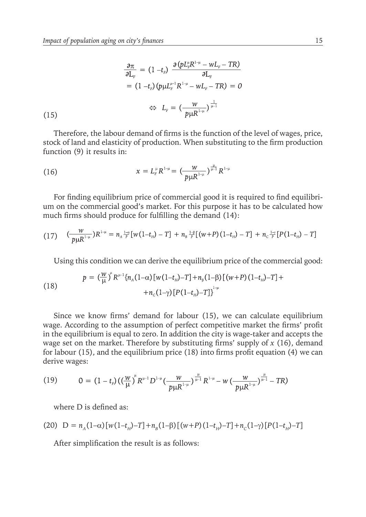$$
\frac{\partial \pi}{\partial L_{F}} = (1 - t_{F}) \frac{\partial (p L_{F}^{\mu} R^{1-\mu} - w L_{F} - TR)}{\partial L_{F}}
$$

$$
= (1 - t_{F}) (p \mu L_{F}^{\mu-1} R^{1-\mu} - w L_{F} - TR) = 0
$$

$$
\Leftrightarrow L_{F} = (\frac{w}{p \mu R^{1-\mu}})^{\frac{1}{\mu-1}}
$$
(15)

Therefore, the labour demand of firms is the function of the level of wages, price, stock of land and elasticity of production. When substituting to the firm production function (9) it results in:

(16) 
$$
x = L_F^{\mu} R^{1-\mu} = \left( \frac{W}{p \mu R^{1-\mu}} \right)^{\frac{\mu}{\mu-1}} R^{1-\mu}
$$

For finding equilibrium price of commercial good it is required to find equilibrium on the commercial good's market. For this purpose it has to be calculated how much firms should produce for fulfilling the demand (14):

$$
(17) \quad \left(\frac{w}{p\mu R^{1-\mu}}\right)R^{1-\mu} = n_A \frac{1-\alpha}{p} \left[ w(1-t_B) - T \right] + n_B \frac{1-\beta}{p} \left[ (w+P)(1-t_B) - T \right] + n_C \frac{1-\gamma}{p} \left[ P(1-t_B) - T \right]
$$

Using this condition we can derive the equilibrium price of the commercial good:

(18) 
$$
p = \left(\frac{W}{\mu}\right)^{\mu} R^{\mu-1} \{n_A(1-\alpha) [w(1-t_H) - T] + n_\beta(1-\beta) [(w+P)(1-t_H) - T] + n_c(1-\gamma) [P(1-t_H) - T] \}^{\mu}
$$

Since we know firms' demand for labour (15), we can calculate equilibrium wage. According to the assumption of perfect competitive market the firms' profit in the equilibrium is equal to zero. In addition the city is wage-taker and accepts the wage set on the market. Therefore by substituting firms' supply of *x* (16), demand for labour (15), and the equilibrium price (18) into firms profit equation (4) we can derive wages:

(19) 
$$
0 = (1-t_F)((\frac{w}{\mu})^n R^{\mu-1} D^{1-\mu} (\frac{w}{p\mu R^{1-\mu}})^{\frac{\mu}{\mu-1}} R^{1-\mu} - w (\frac{w}{p\mu R^{1-\mu}})^{\frac{\mu}{\mu-1}} - TR)
$$

where D is defined as:

(20) 
$$
D = n_A(1-\alpha)[w(1-t_H)-T] + n_B(1-\beta)[(w+P)(1-t_H)-T] + n_C(1-\gamma)[P(1-t_H)-T]
$$

After simplification the result is as follows: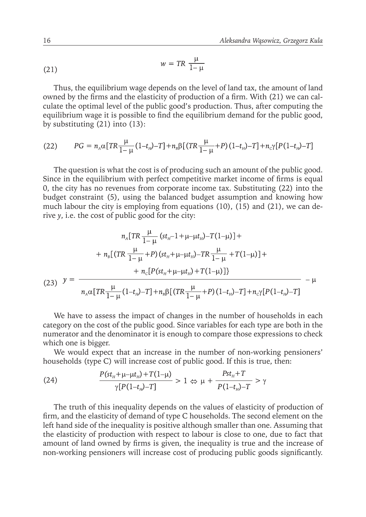$$
w = TR \frac{\mu}{1 - \mu}
$$

Thus, the equilibrium wage depends on the level of land tax, the amount of land owned by the firms and the elasticity of production of a firm. With (21) we can calculate the optimal level of the public good's production. Thus, after computing the equilibrium wage it is possible to find the equilibrium demand for the public good, by substituting (21) into (13):

(22) 
$$
PG = n_A \alpha [TR\frac{\mu}{1-\mu}(1-t_B)-T] + n_B \beta [(TR\frac{\mu}{1-\mu}+P)(1-t_B)-T] + n_c \gamma [P(1-t_B)-T]
$$

The question is what the cost is of producing such an amount of the public good. Since in the equilibrium with perfect competitive market income of firms is equal 0, the city has no revenues from corporate income tax. Substituting (22) into the budget constraint (5), using the balanced budget assumption and knowing how much labour the city is employing from equations (10), (15) and (21), we can derive *y*, i.e. the cost of public good for the city:

$$
n_{A}[TR\frac{\mu}{1-\mu}(st_{H}-1+\mu-\mu t_{H})-T(1-\mu)] +
$$
  
+  $n_{B}[(TR\frac{\mu}{1-\mu}+P)(st_{H}+\mu-\mu t_{H})-TR\frac{\mu}{1-\mu}+T(1-\mu)] +$   
+  $n_{C}[P(st_{H}+\mu-\mu t_{H})+T(1-\mu)]$ }  
(23)  $y = \frac{\mu}{n_{A}\alpha[TR\frac{\mu}{1-\mu}(1-t_{H})-T]+n_{B}\beta[(TR\frac{\mu}{1-\mu}+P)(1-t_{H})-T]+n_{C}\gamma[P(1-t_{H})-T]} - \mu$ 

We have to assess the impact of changes in the number of households in each category on the cost of the public good. Since variables for each type are both in the numerator and the denominator it is enough to compare those expressions to check which one is bigger.

We would expect that an increase in the number of non-working pensioners' households (type C) will increase cost of public good. If this is true, then:

(24) 
$$
\frac{P(st_{H} + \mu - \mu t_{H}) + T(1-\mu)}{\gamma[P(1-t_{H}) - T]} > 1 \Leftrightarrow \mu + \frac{Pst_{H} + T}{P(1-t_{H}) - T} > \gamma
$$

The truth of this inequality depends on the values of elasticity of production of firm, and the elasticity of demand of type C households. The second element on the left hand side of the inequality is positive although smaller than one. Assuming that the elasticity of production with respect to labour is close to one, due to fact that amount of land owned by firms is given, the inequality is true and the increase of non-working pensioners will increase cost of producing public goods significantly.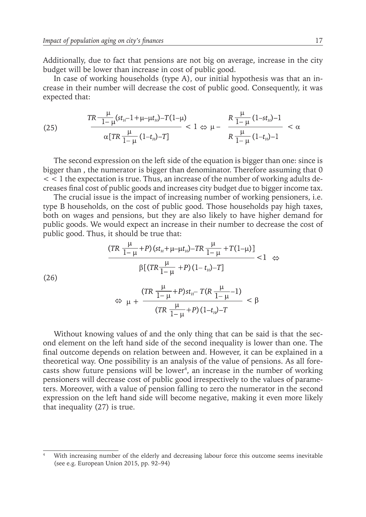Additionally, due to fact that pensions are not big on average, increase in the city budget will be lower than increase in cost of public good.

In case of working households (type A), our initial hypothesis was that an increase in their number will decrease the cost of public good. Consequently, it was expected that:

(25) 
$$
\frac{TR\frac{\mu}{1-\mu}(st_{H}-1+\mu-\mu t_{H})-T(1-\mu)}{\alpha[TR\frac{\mu}{1-\mu}(1-t_{H})-T]}<1\Leftrightarrow \mu-\frac{R\frac{\mu}{1-\mu}(1-st_{H})-1}{R\frac{\mu}{1-\mu}(1-t_{H})-1}<\alpha
$$

The second expression on the left side of the equation is bigger than one: since is bigger than , the numerator is bigger than denominator. Therefore assuming that 0  $<$  1 the expectation is true. Thus, an increase of the number of working adults decreases final cost of public goods and increases city budget due to bigger income tax.

The crucial issue is the impact of increasing number of working pensioners, i.e. type B households, on the cost of public good. Those households pay high taxes, both on wages and pensions, but they are also likely to have higher demand for public goods. We would expect an increase in their number to decrease the cost of public good. Thus, it should be true that:

$$
\frac{(TR\ \frac{\mu}{1-\mu}+P)(st_{H}+\mu-\mu t_{H})-TR\ \frac{\mu}{1-\mu}+T(1-\mu)]}{\beta[(TR\ \frac{\mu}{1-\mu}+P)(1-t_{H})-T]}<1 \Leftrightarrow
$$
\n
$$
\Leftrightarrow \ \mu + \frac{(TR\ \frac{\mu}{1-\mu}+P)st_{H}-T(R\ \frac{\mu}{1-\mu}-1)}{(TR\ \frac{\mu}{1-\mu}+P)(1-t_{H})-T}<\beta
$$

Without knowing values of and the only thing that can be said is that the second element on the left hand side of the second inequality is lower than one. The final outcome depends on relation between and. However, it can be explained in a theoretical way. One possibility is an analysis of the value of pensions. As all forecasts show future pensions will be lower4 , an increase in the number of working pensioners will decrease cost of public good irrespectively to the values of parameters. Moreover, with a value of pension falling to zero the numerator in the second expression on the left hand side will become negative, making it even more likely that inequality (27) is true.

With increasing number of the elderly and decreasing labour force this outcome seems inevitable (see e.g. European Union 2015, pp. 92–94)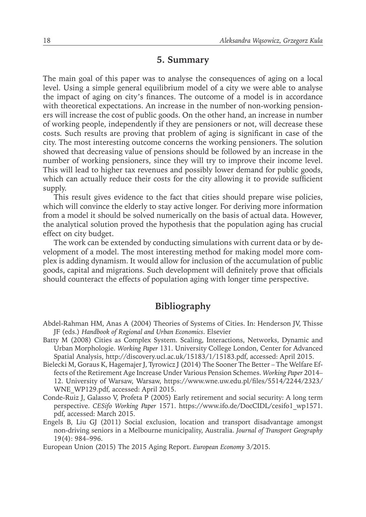## **5. Summary**

The main goal of this paper was to analyse the consequences of aging on a local level. Using a simple general equilibrium model of a city we were able to analyse the impact of aging on city's finances. The outcome of a model is in accordance with theoretical expectations. An increase in the number of non-working pensioners will increase the cost of public goods. On the other hand, an increase in number of working people, independently if they are pensioners or not, will decrease these costs*.* Such results are proving that problem of aging is significant in case of the city. The most interesting outcome concerns the working pensioners. The solution showed that decreasing value of pensions should be followed by an increase in the number of working pensioners, since they will try to improve their income level. This will lead to higher tax revenues and possibly lower demand for public goods, which can actually reduce their costs for the city allowing it to provide sufficient supply.

This result gives evidence to the fact that cities should prepare wise policies, which will convince the elderly to stay active longer. For deriving more information from a model it should be solved numerically on the basis of actual data. However, the analytical solution proved the hypothesis that the population aging has crucial effect on city budget.

The work can be extended by conducting simulations with current data or by development of a model. The most interesting method for making model more complex is adding dynamism. It would allow for inclusion of the accumulation of public goods, capital and migrations. Such development will definitely prove that officials should counteract the effects of population aging with longer time perspective.

## **Bibliography**

- Abdel-Rahman HM, Anas A (2004) Theories of Systems of Cities. In: Henderson JV, Thisse JF (eds.) *Handbook of Regional and Urban Economics*. Elsevier
- Batty M (2008) Cities as Complex System. Scaling, Interactions, Networks, Dynamic and Urban Morphologie. *Working Paper* 131. University College London, Center for Advanced Spatial Analysis, http://discovery.ucl.ac.uk/15183/1/15183.pdf, accessed: April 2015.
- Bielecki M, Goraus K, Hagemajer J, Tyrowicz J (2014) The Sooner The Better The Welfare Effects of the Retirement Age Increase Under Various Pension Schemes. *Working Paper* 2014– 12. University of Warsaw, Warsaw, https://www.wne.uw.edu.pl/files/5514/2244/2323/ WNE\_WP129.pdf, accessed: April 2015.
- Conde-Ruiz J, Galasso V, Profeta P (2005) Early retirement and social security: A long term perspective. *CESifo Working Paper* 1571. https://www.ifo.de/DocCIDL/cesifo1\_wp1571. pdf, accessed: March 2015.
- Engels B, Liu GJ (2011) Social exclusion, location and transport disadvantage amongst non-driving seniors in a Melbourne municipality, Australia. *Journal of Transport Geography* 19(4): 984–996.

European Union (2015) The 2015 Aging Report. *European Economy* 3/2015.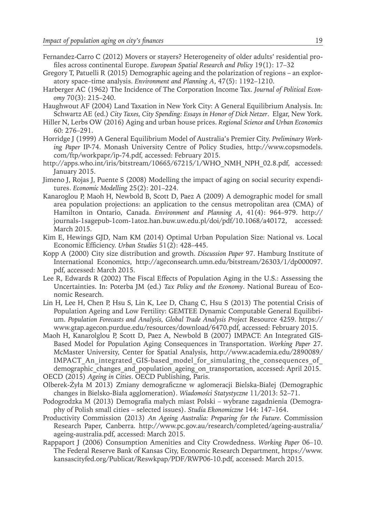- Fernandez-Carro C (2012) Movers or stayers? Heterogeneity of older adults' residential profiles across continental Europe. *European Spatial Research and Policy* 19(1): 17–32
- Gregory T, Patuelli R (2015) Demographic ageing and the polarization of regions an exploratory space–time analysis. *Environment and Planning A*, 47(5): 1192–1210.
- Harberger AC (1962) The Incidence of The Corporation Income Tax. *Journal of Political Economy* 70(3): 215–240.
- Haughwout AF (2004) Land Taxation in New York City: A General Equilibrium Analysis. In: Schwartz AE (ed.) *City Taxes, City Spending: Essays in Honor of Dick Netzer*. Elgar, New York.
- Hiller N, Lerbs OW (2016) Aging and urban house prices. *Regional Science and Urban Economics* 60: 276–291.
- Horridge J (1999) A General Equilibrium Model of Australia's Premier City. *Preliminary Working Paper* IP-74. Monash University Centre of Policy Studies, http://www.copsmodels. com/ftp/workpapr/ip-74.pdf, accessed: February 2015.
- http://apps.who.int/iris/bitstream/10665/67215/1/WHO\_NMH\_NPH\_02.8.pdf, accessed: January 2015.
- Jimeno J, Rojas J, Puente S (2008) Modelling the impact of aging on social security expenditures. *Economic Modelling* 25(2): 201–224.
- Kanaroglou P, Maoh H, Newbold B, Scott D, Paez A (2009) A demographic model for small area population projections: an application to the census metropolitan area (CMA) of Hamilton in Ontario, Canada. *Environment and Planning A*, 41(4): 964–979. http:// journals-1sagepub-1com-1atoz.han.buw.uw.edu.pl/doi/pdf/10.1068/a40172, accessed: March 2015.
- Kim E, Hewings GJD, Nam KM (2014) Optimal Urban Population Size: National vs. Local Economic Efficiency. *Urban Studies* 51(2): 428–445.
- Kopp A (2000) City size distribution and growth. *Discussion Paper* 97. Hamburg Institute of International Economics, http://ageconsearch.umn.edu/bitstream/26303/1/dp000097. pdf, accessed: March 2015.
- Lee R, Edwards R (2002) The Fiscal Effects of Population Aging in the U.S.: Assessing the Uncertainties. In: Poterba JM (ed.) *Tax Policy and the Economy*. National Bureau of Economic Research.
- Lin H, Lee H, Chen P, Hsu S, Lin K, Lee D, Chang C, Hsu S (2013) The potential Crisis of Population Ageing and Low Fertility: GEMTEE Dynamic Computable General Equilibrium. *Population Forecasts and Analysis, Global Trade Analysis Project* Resource 4259. https:// www.gtap.agecon.purdue.edu/resources/download/6470.pdf, accessed: February 2015.
- Maoh H, Kanarolglou P, Scott D, Paez A, Newbold B (2007) IMPACT: An Integrated GIS-Based Model for Population Aging Consequences in Transportation. *Working Paper* 27. McMaster University, Center for Spatial Analysis, http://www.academia.edu/2890089/ IMPACT An integrated GIS-based model for simulating the consequences of demographic changes and population ageing on transportation, accessed: April 2015. OECD (2015) *Ageing in Cities*. OECD Publishing, Paris.
- Olberek-Żyła M 2013) Zmiany demograficzne w aglomeracji Bielska-Białej (Demographic changes in Bielsko-Biała agglomeration). *Wiadomości Statystyczne* 11/2013: 52–71.
- Podogrodzka M (2013) Demografia małych miast Polski wybrane zagadnienia (Demography of Polish small cities – selected issues). *Studia Ekonomiczne* 144: 147–164.
- Productivity Commission (2013) *An Ageing Australia: Preparing for the Future*. Commission Research Paper, Canberra. http://www.pc.gov.au/research/completed/ageing-australia/ ageing-australia.pdf, accessed: March 2015.
- Rappaport J (2006) Consumption Amenities and City Crowdedness. *Working Paper* 06–10. The Federal Reserve Bank of Kansas City, Economic Research Department, https://www. kansascityfed.org/Publicat/Reswkpap/PDF/RWP06-10.pdf, accessed: March 2015.